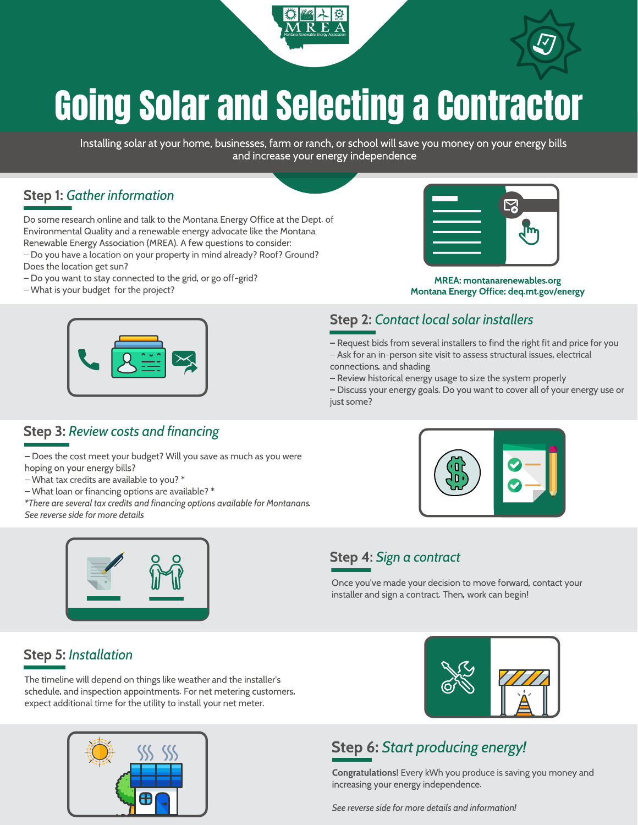



# Going Solar and Selecting a Contractor

Installing solar at your home, businesses, farm or ranch, or school will save you money on your energy bills and increase your energy independence

### Step 1: Gather information

Do some research online and talk to the Montana Energy Office at the Dept. of Environmental Quality and a renewable energy advocate like the Montana Renewable Energy Association (MREA). A few questions to consider: – Do you have a location on your property in mind already? Roof? Ground? Does the location get sun?

- Do you want to stay connected to the grid, or go off-grid?
- What is your budget for the project?



MREA: montanarenewables.org Montana Energy Office: deq.mt.gov/energy

– Request bids from several installers to find the right fit and price for you – Ask for an in-person site visit to assess structural issues, electrical

– Discuss your energy goals. Do you want to cover all of your energy use or

Step 2: Contact local solar installers

– Review historical energy usage to size the system properly

### Step 3: Review costs and financing

– Does the cost meet your budget? Will you save as much as you were hoping on your energy bills?

- What tax credits are available to you? \*
- What loan or financing options are available? \*

\*There are several tax credits and financing options available for Montanans. See reverse side for more details



### Step 4: Sign a contract

connections, and shading

just some?

Once you've made your decision to move forward, contact your installer and sign a contract. Then, work can begin!

# Step 5: Installation

The timeline will depend on things like weather and the installer's schedule, and inspection appointments. For net metering customers, expect additional time for the utility to install your net meter.





# Step 6: Start producing energy!

Congratulations! Every kWh you produce is saving you money and increasing your energy independence.

See reverse side for more details and information!